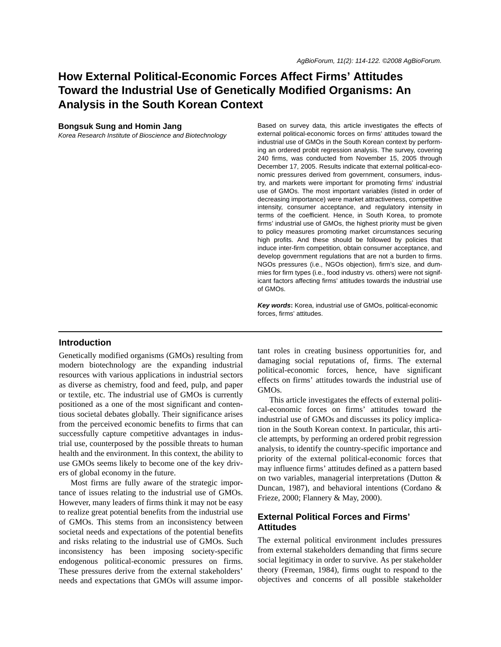# **How External Political-Economic Forces Affect Firms' Attitudes Toward the Industrial Use of Genetically Modified Organisms: An Analysis in the South Korean Context**

#### **Bongsuk Sung and Homin Jang**

*Korea Research Institute of Bioscience and Biotechnology*

Based on survey data, this article investigates the effects of external political-economic forces on firms' attitudes toward the industrial use of GMOs in the South Korean context by performing an ordered probit regression analysis. The survey, covering 240 firms, was conducted from November 15, 2005 through December 17, 2005. Results indicate that external political-economic pressures derived from government, consumers, industry, and markets were important for promoting firms' industrial use of GMOs. The most important variables (listed in order of decreasing importance) were market attractiveness, competitive intensity, consumer acceptance, and regulatory intensity in terms of the coefficient. Hence, in South Korea, to promote firms' industrial use of GMOs, the highest priority must be given to policy measures promoting market circumstances securing high profits. And these should be followed by policies that induce inter-firm competition, obtain consumer acceptance, and develop government regulations that are not a burden to firms. NGOs pressures (i.e., NGOs objection), firm's size, and dummies for firm types (i.e., food industry vs. others) were not significant factors affecting firms' attitudes towards the industrial use of GMOs.

*Key words***:** Korea, industrial use of GMOs, political-economic forces, firms' attitudes.

# **Introduction**

Genetically modified organisms (GMOs) resulting from modern biotechnology are the expanding industrial resources with various applications in industrial sectors as diverse as chemistry, food and feed, pulp, and paper or textile, etc. The industrial use of GMOs is currently positioned as a one of the most significant and contentious societal debates globally. Their significance arises from the perceived economic benefits to firms that can successfully capture competitive advantages in industrial use, counterposed by the possible threats to human health and the environment. In this context, the ability to use GMOs seems likely to become one of the key drivers of global economy in the future.

Most firms are fully aware of the strategic importance of issues relating to the industrial use of GMOs. However, many leaders of firms think it may not be easy to realize great potential benefits from the industrial use of GMOs. This stems from an inconsistency between societal needs and expectations of the potential benefits and risks relating to the industrial use of GMOs. Such inconsistency has been imposing society-specific endogenous political-economic pressures on firms. These pressures derive from the external stakeholders' needs and expectations that GMOs will assume important roles in creating business opportunities for, and damaging social reputations of, firms. The external political-economic forces, hence, have significant effects on firms' attitudes towards the industrial use of GMOs.

This article investigates the effects of external political-economic forces on firms' attitudes toward the industrial use of GMOs and discusses its policy implication in the South Korean context. In particular, this article attempts, by performing an ordered probit regression analysis, to identify the country-specific importance and priority of the external political-economic forces that may influence firms' attitudes defined as a pattern based on two variables, managerial interpretations (Dutton & Duncan, 1987), and behavioral intentions (Cordano & Frieze, 2000; Flannery & May, 2000).

# **External Political Forces and Firms' Attitudes**

The external political environment includes pressures from external stakeholders demanding that firms secure social legitimacy in order to survive. As per stakeholder theory (Freeman, 1984), firms ought to respond to the objectives and concerns of all possible stakeholder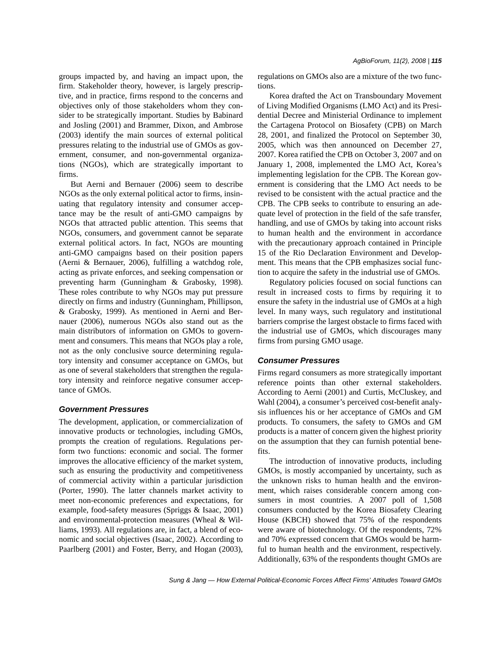groups impacted by, and having an impact upon, the firm. Stakeholder theory, however, is largely prescriptive, and in practice, firms respond to the concerns and objectives only of those stakeholders whom they consider to be strategically important. Studies by Babinard and Josling (2001) and Brammer, Dixon, and Ambrose (2003) identify the main sources of external political pressures relating to the industrial use of GMOs as government, consumer, and non-governmental organizations (NGOs), which are strategically important to firms.

But Aerni and Bernauer (2006) seem to describe NGOs as the only external political actor to firms, insinuating that regulatory intensity and consumer acceptance may be the result of anti-GMO campaigns by NGOs that attracted public attention. This seems that NGOs, consumers, and government cannot be separate external political actors. In fact, NGOs are mounting anti-GMO campaigns based on their position papers (Aerni & Bernauer, 2006), fulfilling a watchdog role, acting as private enforces, and seeking compensation or preventing harm (Gunningham & Grabosky, 1998). These roles contribute to why NGOs may put pressure directly on firms and industry (Gunningham, Phillipson, & Grabosky, 1999). As mentioned in Aerni and Bernauer (2006), numerous NGOs also stand out as the main distributors of information on GMOs to government and consumers. This means that NGOs play a role, not as the only conclusive source determining regulatory intensity and consumer acceptance on GMOs, but as one of several stakeholders that strengthen the regulatory intensity and reinforce negative consumer acceptance of GMOs.

#### *Government Pressures*

The development, application, or commercialization of innovative products or technologies, including GMOs, prompts the creation of regulations. Regulations perform two functions: economic and social. The former improves the allocative efficiency of the market system, such as ensuring the productivity and competitiveness of commercial activity within a particular jurisdiction (Porter, 1990). The latter channels market activity to meet non-economic preferences and expectations, for example, food-safety measures (Spriggs & Isaac, 2001) and environmental-protection measures (Wheal & Williams, 1993). All regulations are, in fact, a blend of economic and social objectives (Isaac, 2002). According to Paarlberg (2001) and Foster, Berry, and Hogan (2003), regulations on GMOs also are a mixture of the two functions.

Korea drafted the Act on Transboundary Movement of Living Modified Organisms (LMO Act) and its Presidential Decree and Ministerial Ordinance to implement the Cartagena Protocol on Biosafety (CPB) on March 28, 2001, and finalized the Protocol on September 30, 2005, which was then announced on December 27, 2007. Korea ratified the CPB on October 3, 2007 and on January 1, 2008, implemented the LMO Act, Korea's implementing legislation for the CPB. The Korean government is considering that the LMO Act needs to be revised to be consistent with the actual practice and the CPB. The CPB seeks to contribute to ensuring an adequate level of protection in the field of the safe transfer, handling, and use of GMOs by taking into account risks to human health and the environment in accordance with the precautionary approach contained in Principle 15 of the Rio Declaration Environment and Development. This means that the CPB emphasizes social function to acquire the safety in the industrial use of GMOs.

Regulatory policies focused on social functions can result in increased costs to firms by requiring it to ensure the safety in the industrial use of GMOs at a high level. In many ways, such regulatory and institutional barriers comprise the largest obstacle to firms faced with the industrial use of GMOs, which discourages many firms from pursing GMO usage.

#### *Consumer Pressures*

Firms regard consumers as more strategically important reference points than other external stakeholders. According to Aerni (2001) and Curtis, McCluskey, and Wahl (2004), a consumer's perceived cost-benefit analysis influences his or her acceptance of GMOs and GM products. To consumers, the safety to GMOs and GM products is a matter of concern given the highest priority on the assumption that they can furnish potential benefits.

The introduction of innovative products, including GMOs, is mostly accompanied by uncertainty, such as the unknown risks to human health and the environment, which raises considerable concern among consumers in most countries. A 2007 poll of 1,508 consumers conducted by the Korea Biosafety Clearing House (KBCH) showed that 75% of the respondents were aware of biotechnology. Of the respondents, 72% and 70% expressed concern that GMOs would be harmful to human health and the environment, respectively. Additionally, 63% of the respondents thought GMOs are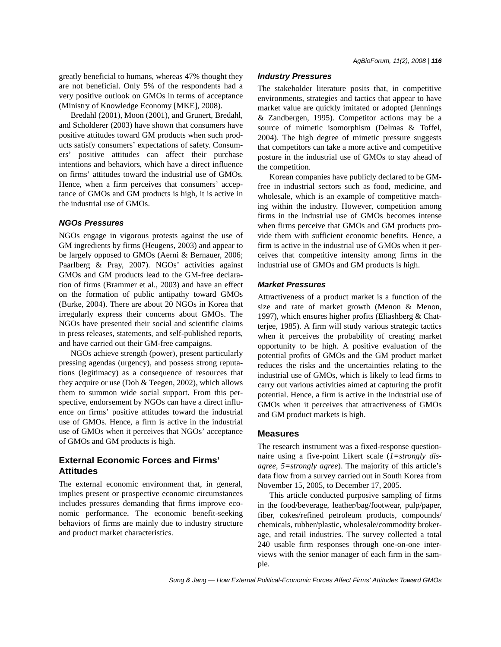greatly beneficial to humans, whereas 47% thought they are not beneficial. Only 5% of the respondents had a very positive outlook on GMOs in terms of acceptance (Ministry of Knowledge Economy [MKE], 2008).

Bredahl (2001), Moon (2001), and Grunert, Bredahl, and Scholderer (2003) have shown that consumers have positive attitudes toward GM products when such products satisfy consumers' expectations of safety. Consumers' positive attitudes can affect their purchase intentions and behaviors, which have a direct influence on firms' attitudes toward the industrial use of GMOs. Hence, when a firm perceives that consumers' acceptance of GMOs and GM products is high, it is active in the industrial use of GMOs.

#### *NGOs Pressures*

NGOs engage in vigorous protests against the use of GM ingredients by firms (Heugens, 2003) and appear to be largely opposed to GMOs (Aerni & Bernauer, 2006; Paarlberg & Pray, 2007). NGOs' activities against GMOs and GM products lead to the GM-free declaration of firms (Brammer et al., 2003) and have an effect on the formation of public antipathy toward GMOs (Burke, 2004). There are about 20 NGOs in Korea that irregularly express their concerns about GMOs. The NGOs have presented their social and scientific claims in press releases, statements, and self-published reports, and have carried out their GM-free campaigns.

NGOs achieve strength (power), present particularly pressing agendas (urgency), and possess strong reputations (legitimacy) as a consequence of resources that they acquire or use (Doh & Teegen, 2002), which allows them to summon wide social support. From this perspective, endorsement by NGOs can have a direct influence on firms' positive attitudes toward the industrial use of GMOs. Hence, a firm is active in the industrial use of GMOs when it perceives that NGOs' acceptance of GMOs and GM products is high.

# **External Economic Forces and Firms' Attitudes**

The external economic environment that, in general, implies present or prospective economic circumstances includes pressures demanding that firms improve economic performance. The economic benefit-seeking behaviors of firms are mainly due to industry structure and product market characteristics.

# *Industry Pressures*

The stakeholder literature posits that, in competitive environments, strategies and tactics that appear to have market value are quickly imitated or adopted (Jennings & Zandbergen, 1995). Competitor actions may be a source of mimetic isomorphism (Delmas & Toffel, 2004). The high degree of mimetic pressure suggests that competitors can take a more active and competitive posture in the industrial use of GMOs to stay ahead of the competition.

Korean companies have publicly declared to be GMfree in industrial sectors such as food, medicine, and wholesale, which is an example of competitive matching within the industry. However, competition among firms in the industrial use of GMOs becomes intense when firms perceive that GMOs and GM products provide them with sufficient economic benefits. Hence, a firm is active in the industrial use of GMOs when it perceives that competitive intensity among firms in the industrial use of GMOs and GM products is high.

#### *Market Pressures*

Attractiveness of a product market is a function of the size and rate of market growth (Menon & Menon, 1997), which ensures higher profits (Eliashberg & Chatterjee, 1985). A firm will study various strategic tactics when it perceives the probability of creating market opportunity to be high. A positive evaluation of the potential profits of GMOs and the GM product market reduces the risks and the uncertainties relating to the industrial use of GMOs, which is likely to lead firms to carry out various activities aimed at capturing the profit potential. Hence, a firm is active in the industrial use of GMOs when it perceives that attractiveness of GMOs and GM product markets is high.

#### **Measures**

The research instrument was a fixed-response questionnaire using a five-point Likert scale (*1=strongly disagree, 5=strongly agree*). The majority of this article's data flow from a survey carried out in South Korea from November 15, 2005, to December 17, 2005.

This article conducted purposive sampling of firms in the food/beverage, leather/bag/footwear, pulp/paper, fiber, cokes/refined petroleum products, compounds/ chemicals, rubber/plastic, wholesale/commodity brokerage, and retail industries. The survey collected a total 240 usable firm responses through one-on-one interviews with the senior manager of each firm in the sample.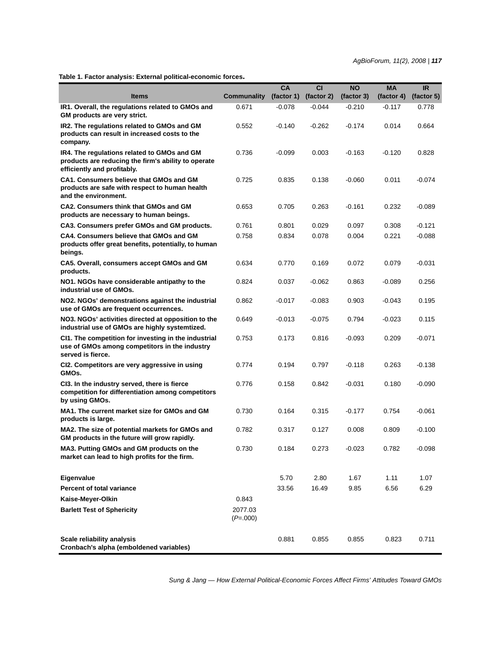**Table 1. Factor analysis: External political-economic forces.**

| <b>Items</b>                                                                                                                      | <b>Communality</b>    | CA<br>(factor 1) | <b>CI</b><br>(factor 2) | <b>NO</b><br>(factor 3) | <b>MA</b><br>(factor 4) | <b>IR</b><br>(factor 5) |
|-----------------------------------------------------------------------------------------------------------------------------------|-----------------------|------------------|-------------------------|-------------------------|-------------------------|-------------------------|
| IR1. Overall, the regulations related to GMOs and<br>GM products are very strict.                                                 | 0.671                 | $-0.078$         | $-0.044$                | $-0.210$                | $-0.117$                | 0.778                   |
| IR2. The regulations related to GMOs and GM<br>products can result in increased costs to the<br>company.                          | 0.552                 | $-0.140$         | $-0.262$                | $-0.174$                | 0.014                   | 0.664                   |
| IR4. The regulations related to GMOs and GM<br>products are reducing the firm's ability to operate<br>efficiently and profitably. | 0.736                 | $-0.099$         | 0.003                   | $-0.163$                | $-0.120$                | 0.828                   |
| <b>CA1. Consumers believe that GMOs and GM</b><br>products are safe with respect to human health<br>and the environment.          | 0.725                 | 0.835            | 0.138                   | $-0.060$                | 0.011                   | $-0.074$                |
| <b>CA2. Consumers think that GMOs and GM</b><br>products are necessary to human beings.                                           | 0.653                 | 0.705            | 0.263                   | $-0.161$                | 0.232                   | $-0.089$                |
| CA3. Consumers prefer GMOs and GM products.                                                                                       | 0.761                 | 0.801            | 0.029                   | 0.097                   | 0.308                   | $-0.121$                |
| CA4. Consumers believe that GMOs and GM<br>products offer great benefits, potentially, to human<br>beings.                        | 0.758                 | 0.834            | 0.078                   | 0.004                   | 0.221                   | $-0.088$                |
| CA5. Overall, consumers accept GMOs and GM<br>products.                                                                           | 0.634                 | 0.770            | 0.169                   | 0.072                   | 0.079                   | $-0.031$                |
| NO1. NGOs have considerable antipathy to the<br>industrial use of GMOs.                                                           | 0.824                 | 0.037            | $-0.062$                | 0.863                   | $-0.089$                | 0.256                   |
| NO2. NGOs' demonstrations against the industrial<br>use of GMOs are frequent occurrences.                                         | 0.862                 | $-0.017$         | $-0.083$                | 0.903                   | $-0.043$                | 0.195                   |
| NO3. NGOs' activities directed at opposition to the<br>industrial use of GMOs are highly systemtized.                             | 0.649                 | $-0.013$         | $-0.075$                | 0.794                   | $-0.023$                | 0.115                   |
| CI1. The competition for investing in the industrial<br>use of GMOs among competitors in the industry<br>served is fierce.        | 0.753                 | 0.173            | 0.816                   | -0.093                  | 0.209                   | $-0.071$                |
| CI2. Competitors are very aggressive in using<br>GMOs.                                                                            | 0.774                 | 0.194            | 0.797                   | $-0.118$                | 0.263                   | $-0.138$                |
| CI3. In the industry served, there is fierce<br>competition for differentiation among competitors<br>by using GMOs.               | 0.776                 | 0.158            | 0.842                   | $-0.031$                | 0.180                   | $-0.090$                |
| MA1. The current market size for GMOs and GM<br>products is large.                                                                | 0.730                 | 0.164            | 0.315                   | $-0.177$                | 0.754                   | $-0.061$                |
| MA2. The size of potential markets for GMOs and<br>GM products in the future will grow rapidly.                                   | 0.782                 | 0.317            | 0.127                   | 0.008                   | 0.809                   | $-0.100$                |
| MA3. Putting GMOs and GM products on the<br>market can lead to high profits for the firm.                                         | 0.730                 | 0.184            | 0.273                   | $-0.023$                | 0.782                   | $-0.098$                |
| Eigenvalue                                                                                                                        |                       | 5.70             | 2.80                    | 1.67                    | 1.11                    | 1.07                    |
| Percent of total variance                                                                                                         |                       | 33.56            | 16.49                   | 9.85                    | 6.56                    | 6.29                    |
| Kaise-Meyer-Olkin                                                                                                                 | 0.843                 |                  |                         |                         |                         |                         |
| <b>Barlett Test of Sphericity</b>                                                                                                 | 2077.03<br>$(P=.000)$ |                  |                         |                         |                         |                         |
| Scale reliability analysis<br>Cronbach's alpha (emboldened variables)                                                             |                       | 0.881            | 0.855                   | 0.855                   | 0.823                   | 0.711                   |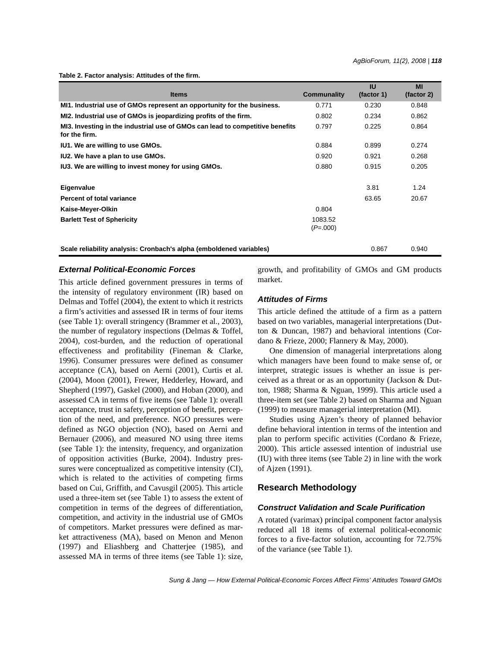**Table 2. Factor analysis: Attitudes of the firm.**

| <b>Items</b>                                                                                   | Communality           | <b>IU</b><br>(factor 1) | MI<br>(factor 2) |
|------------------------------------------------------------------------------------------------|-----------------------|-------------------------|------------------|
| MI1. Industrial use of GMOs represent an opportunity for the business.                         | 0.771                 | 0.230                   | 0.848            |
| MI2. Industrial use of GMOs is jeopardizing profits of the firm.                               | 0.802                 | 0.234                   | 0.862            |
| MI3. Investing in the industrial use of GMOs can lead to competitive benefits<br>for the firm. | 0.797                 | 0.225                   | 0.864            |
| IU1. We are willing to use GMOs.                                                               | 0.884                 | 0.899                   | 0.274            |
| IU2. We have a plan to use GMOs.                                                               | 0.920                 | 0.921                   | 0.268            |
| IU3. We are willing to invest money for using GMOs.                                            | 0.880                 | 0.915                   | 0.205            |
| Eigenvalue                                                                                     |                       | 3.81                    | 1.24             |
| Percent of total variance                                                                      |                       | 63.65                   | 20.67            |
| Kaise-Meyer-Olkin                                                                              | 0.804                 |                         |                  |
| <b>Barlett Test of Sphericity</b>                                                              | 1083.52<br>$(P=.000)$ |                         |                  |
| Scale reliability analysis: Cronbach's alpha (emboldened variables)                            |                       | 0.867                   | 0.940            |

# *External Political-Economic Forces*

This article defined government pressures in terms of the intensity of regulatory environment (IR) based on Delmas and Toffel (2004), the extent to which it restricts a firm's activities and assessed IR in terms of four items (see Table 1): overall stringency (Brammer et al., 2003), the number of regulatory inspections (Delmas & Toffel, 2004), cost-burden, and the reduction of operational effectiveness and profitability (Fineman & Clarke, 1996). Consumer pressures were defined as consumer acceptance (CA), based on Aerni (2001), Curtis et al. (2004), Moon (2001), Frewer, Hedderley, Howard, and Shepherd (1997), Gaskel (2000), and Hoban (2000), and assessed CA in terms of five items (see Table 1): overall acceptance, trust in safety, perception of benefit, perception of the need, and preference. NGO pressures were defined as NGO objection (NO), based on Aerni and Bernauer (2006), and measured NO using three items (see Table 1): the intensity, frequency, and organization of opposition activities (Burke, 2004). Industry pressures were conceptualized as competitive intensity (CI), which is related to the activities of competing firms based on Cui, Griffith, and Cavusgil (2005). This article used a three-item set (see Table 1) to assess the extent of competition in terms of the degrees of differentiation, competition, and activity in the industrial use of GMOs of competitors. Market pressures were defined as market attractiveness (MA), based on Menon and Menon (1997) and Eliashberg and Chatterjee (1985), and assessed MA in terms of three items (see Table 1): size, growth, and profitability of GMOs and GM products market.

#### *Attitudes of Firms*

This article defined the attitude of a firm as a pattern based on two variables, managerial interpretations (Dutton & Duncan, 1987) and behavioral intentions (Cordano & Frieze, 2000; Flannery & May, 2000).

One dimension of managerial interpretations along which managers have been found to make sense of, or interpret, strategic issues is whether an issue is perceived as a threat or as an opportunity (Jackson & Dutton, 1988; Sharma & Nguan, 1999). This article used a three-item set (see Table 2) based on Sharma and Nguan (1999) to measure managerial interpretation (MI).

Studies using Ajzen's theory of planned behavior define behavioral intention in terms of the intention and plan to perform specific activities (Cordano & Frieze, 2000). This article assessed intention of industrial use (IU) with three items (see Table 2) in line with the work of Ajzen (1991).

# **Research Methodology**

# *Construct Validation and Scale Purification*

A rotated (varimax) principal component factor analysis reduced all 18 items of external political-economic forces to a five-factor solution, accounting for 72.75% of the variance (see Table 1).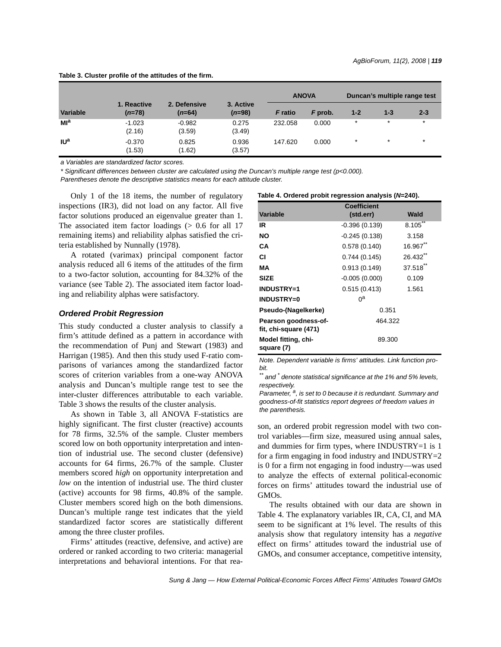|                       |                         |                          |                       | <b>ANOVA</b>   |         | Duncan's multiple range test |         |         |
|-----------------------|-------------------------|--------------------------|-----------------------|----------------|---------|------------------------------|---------|---------|
| Variable              | 1. Reactive<br>$(n=78)$ | 2. Defensive<br>$(n=64)$ | 3. Active<br>$(n=98)$ | <b>F</b> ratio | F prob. | $1 - 2$                      | $1 - 3$ | $2 - 3$ |
| Ml <sup>a</sup>       | $-1.023$<br>(2.16)      | $-0.982$<br>(3.59)       | 0.275<br>(3.49)       | 232.058        | 0.000   | $\star$                      | $\star$ | $\star$ |
| <b>IU<sup>a</sup></b> | $-0.370$<br>(1.53)      | 0.825<br>(1.62)          | 0.936<br>(3.57)       | 147.620        | 0.000   | $\star$                      | $\star$ | $\star$ |

**Table 3. Cluster profile of the attitudes of the firm.**

*a Variables are standardized factor scores.*

*\* Significant differences between cluster are calculated using the Duncan's multiple range test (p<0.000).*

*Parentheses denote the descriptive statistics means for each attitude cluster.*

Only 1 of the 18 items, the number of regulatory inspections (IR3), did not load on any factor. All five factor solutions produced an eigenvalue greater than 1. The associated item factor loadings  $(> 0.6$  for all 17 remaining items) and reliability alphas satisfied the criteria established by Nunnally (1978).

A rotated (varimax) principal component factor analysis reduced all 6 items of the attitudes of the firm to a two-factor solution, accounting for 84.32% of the variance (see Table 2). The associated item factor loading and reliability alphas were satisfactory.

#### *Ordered Probit Regression*

This study conducted a cluster analysis to classify a firm's attitude defined as a pattern in accordance with the recommendation of Punj and Stewart (1983) and Harrigan (1985). And then this study used F-ratio comparisons of variances among the standardized factor scores of criterion variables from a one-way ANOVA analysis and Duncan's multiple range test to see the inter-cluster differences attributable to each variable. Table 3 shows the results of the cluster analysis.

As shown in Table 3, all ANOVA F-statistics are highly significant. The first cluster (reactive) accounts for 78 firms, 32.5% of the sample. Cluster members scored low on both opportunity interpretation and intention of industrial use. The second cluster (defensive) accounts for 64 firms, 26.7% of the sample. Cluster members scored *high* on opportunity interpretation and *low* on the intention of industrial use. The third cluster (active) accounts for 98 firms, 40.8% of the sample. Cluster members scored high on the both dimensions. Duncan's multiple range test indicates that the yield standardized factor scores are statistically different among the three cluster profiles.

Firms' attitudes (reactive, defensive, and active) are ordered or ranked according to two criteria: managerial interpretations and behavioral intentions. For that rea-

| Variable                                      | <b>Coefficient</b><br>(std.err) | Wald               |  |  |
|-----------------------------------------------|---------------------------------|--------------------|--|--|
| IR                                            | $-0.396(0.139)$                 | $8.105***$         |  |  |
| NO                                            | $-0.245(0.138)$                 | 3.158              |  |  |
| CА                                            | 0.578(0.140)                    | 16.967**           |  |  |
| СI                                            | 0.744(0.145)                    | 26.432             |  |  |
| МA                                            | 0.913(0.149)                    | $37.518^{\degree}$ |  |  |
| <b>SIZE</b>                                   | $-0.005(0.000)$                 | 0.109              |  |  |
| <b>INDUSTRY=1</b>                             | 0.515(0.413)                    | 1.561              |  |  |
| <b>INDUSTRY=0</b>                             | 0a                              |                    |  |  |
| Pseudo-(Nagelkerke)                           | 0.351                           |                    |  |  |
| Pearson goodness-of-<br>fit, chi-square (471) | 464.322                         |                    |  |  |
| Model fitting, chi-<br>square (7)             | 89.300                          |                    |  |  |

**Table 4. Ordered probit regression analysis (***N***=240).**

*Note. Dependent variable is firms' attitudes. Link function probit.*

*\*\* and \* denote statistical significance at the 1% and 5% levels, respectively.*

*Parameter, a, is set to 0 because it is redundant. Summary and goodness-of-fit statistics report degrees of freedom values in the parenthesis.*

son, an ordered probit regression model with two control variables—firm size, measured using annual sales, and dummies for firm types, where INDUSTRY=1 is 1 for a firm engaging in food industry and INDUSTRY=2 is 0 for a firm not engaging in food industry—was used to analyze the effects of external political-economic forces on firms' attitudes toward the industrial use of GMOs.

The results obtained with our data are shown in Table 4. The explanatory variables IR, CA, CI, and MA seem to be significant at 1% level. The results of this analysis show that regulatory intensity has a *negative* effect on firms' attitudes toward the industrial use of GMOs, and consumer acceptance, competitive intensity,

*Sung & Jang — How External Political-Economic Forces Affect Firms' Attitudes Toward GMOs*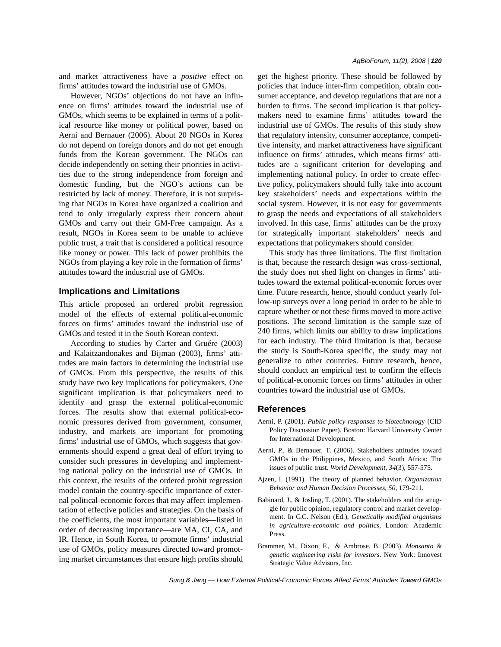However, NGOs' objections do not have an influence on firms' attitudes toward the industrial use of GMOs, which seems to be explained in terms of a political resource like money or political power, based on Aerni and Bernauer (2006). About 20 NGOs in Korea do not depend on foreign donors and do not get enough funds from the Korean government. The NGOs can decide independently on setting their priorities in activities due to the strong independence from foreign and domestic funding, but the NGO's actions can be restricted by lack of money. Therefore, it is not surprising that NGOs in Korea have organized a coalition and tend to only irregularly express their concern about GMOs and carry out their GM-Free campaign. As a result, NGOs in Korea seem to be unable to achieve public trust, a trait that is considered a political resource like money or power. This lack of power prohibits the NGOs from playing a key role in the formation of firms' attitudes toward the industrial use of GMOs.

# **Implications and Limitations**

This article proposed an ordered probit regression model of the effects of external political-economic forces on firms' attitudes toward the industrial use of GMOs and tested it in the South Korean context.

According to studies by Carter and Gruére (2003) and Kalaitzandonakes and Bijman (2003), firms' attitudes are main factors in determining the industrial use of GMOs. From this perspective, the results of this study have two key implications for policymakers. One significant implication is that policymakers need to identify and grasp the external political-economic forces. The results show that external political-economic pressures derived from government, consumer, industry, and markets are important for promoting firms' industrial use of GMOs, which suggests that governments should expend a great deal of effort trying to consider such pressures in developing and implementing national policy on the industrial use of GMOs. In this context, the results of the ordered probit regression model contain the country-specific importance of external political-economic forces that may affect implementation of effective policies and strategies. On the basis of the coefficients, the most important variables—listed in order of decreasing importance—are MA, CI, CA, and IR. Hence, in South Korea, to promote firms' industrial use of GMOs, policy measures directed toward promoting market circumstances that ensure high profits should get the highest priority. These should be followed by policies that induce inter-firm competition, obtain consumer acceptance, and develop regulations that are not a burden to firms. The second implication is that policymakers need to examine firms' attitudes toward the industrial use of GMOs. The results of this study show that regulatory intensity, consumer acceptance, competitive intensity, and market attractiveness have significant influence on firms' attitudes, which means firms' attitudes are a significant criterion for developing and implementing national policy. In order to create effective policy, policymakers should fully take into account key stakeholders' needs and expectations within the social system. However, it is not easy for governments to grasp the needs and expectations of all stakeholders involved. In this case, firms' attitudes can be the proxy for strategically important stakeholders' needs and expectations that policymakers should consider.

This study has three limitations. The first limitation is that, because the research design was cross-sectional, the study does not shed light on changes in firms' attitudes toward the external political-economic forces over time. Future research, hence, should conduct yearly follow-up surveys over a long period in order to be able to capture whether or not these firms moved to more active positions. The second limitation is the sample size of 240 firms, which limits our ability to draw implications for each industry. The third limitation is that, because the study is South-Korea specific, the study may not generalize to other countries. Future research, hence, should conduct an empirical test to confirm the effects of political-economic forces on firms' attitudes in other countries toward the industrial use of GMOs.

# **References**

- Aerni, P. (2001). *Public policy responses to biotechnolog*y (CID Policy Discussion Paper). Boston: Harvard University Center for International Development.
- Aerni, P., & Bernauer, T. (2006). Stakeholders attitudes toward GMOs in the Philippines, Mexico, and South Africa: The issues of public trust. *World Development*, *34*(3), 557-575.
- Ajzen, I. (1991). The theory of planned behavior. *Organization Behavior and Human Decision Processes*, *50*, 179-211.
- Babinard, J., & Josling, T. (2001). The stakeholders and the struggle for public opinion, regulatory control and market development. In G.C. Nelson (Ed.), *Genetically modified organisms in agriculture-economic and politics*, London: Academic Press.
- Brammer, M., Dixon, F., & Ambrose, B. (2003). *Monsanto & genetic engineering risks for investors*. New York: Innovest Strategic Value Advisors, Inc.

*Sung & Jang — How External Political-Economic Forces Affect Firms' Attitudes Toward GMOs*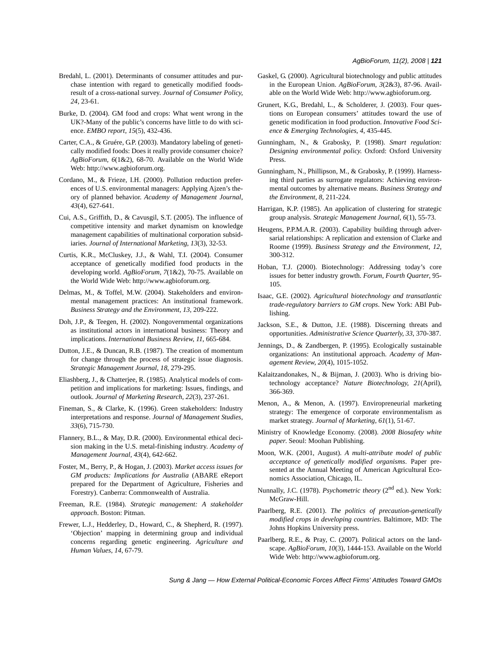- Bredahl, L. (2001). Determinants of consumer attitudes and purchase intention with regard to genetically modified foodsresult of a cross-national survey. *Journal of Consumer Policy*, *24*, 23-61.
- Burke, D. (2004). GM food and crops: What went wrong in the UK?-Many of the public's concerns have little to do with science. *EMBO report*, *15*(5), 432-436.
- Carter, C.A., & Gruére, G.P. (2003). Mandatory labeling of genetically modified foods: Does it really provide consumer choice? *AgBioForum*, *6*(1&2), 68-70. Available on the World Wide Web: http://www.agbioforum.org.
- Cordano, M., & Frieze, I.H. (2000). Pollution reduction preferences of U.S. environmental managers: Applying Ajzen's theory of planned behavior. *Academy of Management Journal*, *43*(4), 627-641.
- Cui, A.S., Griffith, D., & Cavusgil, S.T. (2005). The influence of competitive intensity and market dynamism on knowledge management capabilities of multinational corporation subsidiaries. *Journal of International Marketing*, *13*(3), 32-53.
- Curtis, K.R., McCluskey, J.J., & Wahl, T.I. (2004). Consumer acceptance of genetically modified food products in the developing world. *AgBioForum*, *7*(1&2), 70-75. Available on the World Wide Web: http://www.agbioforum.org.
- Delmas, M., & Toffel, M.W. (2004). Stakeholders and environmental management practices: An institutional framework. *Business Strategy and the Environment*, *13*, 209-222.
- Doh, J.P., & Teegen, H. (2002). Nongovernmental organizations as institutional actors in international business: Theory and implications. *International Business Review*, *11*, 665-684.
- Dutton, J.E., & Duncan, R.B. (1987). The creation of momentum for change through the process of strategic issue diagnosis. *Strategic Management Journal*, *18*, 279-295.
- Eliashberg, J., & Chatterjee, R. (1985). Analytical models of competition and implications for marketing: Issues, findings, and outlook. *Journal of Marketing Research*, *22*(3), 237-261.
- Fineman, S., & Clarke, K. (1996). Green stakeholders: Industry interpretations and response. *Journal of Management Studies*, *33*(6), 715-730.
- Flannery, B.L., & May, D.R. (2000). Environmental ethical decision making in the U.S. metal-finishing industry. *Academy of Management Journal*, *43*(4), 642-662.
- Foster, M., Berry, P., & Hogan, J. (2003). *Market access issues for GM products: Implications for Australia* (ABARE eReport prepared for the Department of Agriculture, Fisheries and Forestry). Canberra: Commonwealth of Australia.
- Freeman, R.E. (1984). *Strategic management: A stakeholder approach*. Boston: Pitman.
- Frewer, L.J., Hedderley, D., Howard, C., & Shepherd, R. (1997). 'Objection' mapping in determining group and individual concerns regarding genetic engineering. *Agriculture and Human Values*, *14*, 67-79.
- Gaskel, G. (2000). Agricultural biotechnology and public attitudes in the European Union. *AgBioForum*, *3*(2&3), 87-96. Available on the World Wide Web: http://www.agbioforum.org.
- Grunert, K.G., Bredahl, L., & Scholderer, J. (2003). Four questions on European consumers' attitudes toward the use of genetic modification in food production. *Innovative Food Science & Emerging Technologies*, *4*, 435-445.
- Gunningham, N., & Grabosky, P. (1998). *Smart regulation: Designing environmental policy*. Oxford: Oxford University Press.
- Gunningham, N., Phillipson, M., & Grabosky, P. (1999). Harnessing third parties as surrogate regulators: Achieving environmental outcomes by alternative means. *Business Strategy and the Environment*, *8*, 211-224.
- Harrigan, K.P. (1985). An application of clustering for strategic group analysis. *Strategic Management Journal*, *6*(1), 55-73.
- Heugens, P.P.M.A.R. (2003). Capability building through adversarial relationships: A replication and extension of Clarke and Roome (1999). *Business Strategy and the Environment*, *12*, 300-312.
- Hoban, T.J. (2000). Biotechnology: Addressing today's core issues for better industry growth. *Forum*, *Fourth Quarter*, 95- 105.
- Isaac, G.E. (2002). *Agricultural biotechnology and transatlantic trade-regulatory barriers to GM crops*. New York: ABI Publishing.
- Jackson, S.E., & Dutton, J.E. (1988). Discerning threats and opportunities. *Administrative Science Quarterly*, *33*, 370-387.
- Jennings, D., & Zandbergen, P. (1995). Ecologically sustainable organizations: An institutional approach. *Academy of Management Review*, *20*(4), 1015-1052.
- Kalaitzandonakes, N., & Bijman, J. (2003). Who is driving biotechnology acceptance? *Nature Biotechnology*, *21*(April), 366-369.
- Menon, A., & Menon, A. (1997). Enviropreneurial marketing strategy: The emergence of corporate environmentalism as market strategy. *Journal of Marketing*, *61*(1), 51-67.
- Ministry of Knowledge Economy. (2008). *2008 Biosafety white paper*. Seoul: Moohan Publishing.
- Moon, W.K. (2001, August). *A multi-attribute model of public acceptance of genetically modified organisms*. Paper presented at the Annual Meeting of American Agricultural Economics Association, Chicago, IL.
- Nunnally, J.C. (1978). *Psychometric theory* (2<sup>nd</sup> ed.). New York: McGraw-Hill.
- Paarlberg, R.E. (2001). *The politics of precaution-genetically modified crops in developing countries*. Baltimore, MD: The Johns Hopkins University press.
- Paarlberg, R.E., & Pray, C. (2007). Political actors on the landscape. *AgBioForum*, *10*(3), 1444-153. Available on the World Wide Web: http://www.agbioforum.org.

*Sung & Jang — How External Political-Economic Forces Affect Firms' Attitudes Toward GMOs*